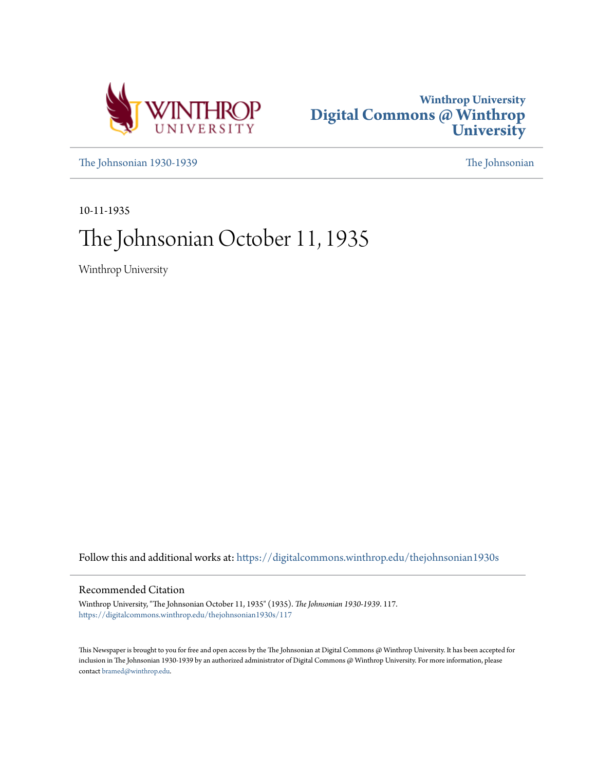



[The Johnsonian 1930-1939](https://digitalcommons.winthrop.edu/thejohnsonian1930s?utm_source=digitalcommons.winthrop.edu%2Fthejohnsonian1930s%2F117&utm_medium=PDF&utm_campaign=PDFCoverPages) [The Johnsonian](https://digitalcommons.winthrop.edu/thejohnsonian_newspaper?utm_source=digitalcommons.winthrop.edu%2Fthejohnsonian1930s%2F117&utm_medium=PDF&utm_campaign=PDFCoverPages)

10-11-1935

# The Johnsonian October 11, 1935

Winthrop University

Follow this and additional works at: [https://digitalcommons.winthrop.edu/thejohnsonian1930s](https://digitalcommons.winthrop.edu/thejohnsonian1930s?utm_source=digitalcommons.winthrop.edu%2Fthejohnsonian1930s%2F117&utm_medium=PDF&utm_campaign=PDFCoverPages)

### Recommended Citation

Winthrop University, "The Johnsonian October 11, 1935" (1935). *The Johnsonian 1930-1939*. 117. [https://digitalcommons.winthrop.edu/thejohnsonian1930s/117](https://digitalcommons.winthrop.edu/thejohnsonian1930s/117?utm_source=digitalcommons.winthrop.edu%2Fthejohnsonian1930s%2F117&utm_medium=PDF&utm_campaign=PDFCoverPages)

This Newspaper is brought to you for free and open access by the The Johnsonian at Digital Commons @ Winthrop University. It has been accepted for inclusion in The Johnsonian 1930-1939 by an authorized administrator of Digital Commons @ Winthrop University. For more information, please contact [bramed@winthrop.edu](mailto:bramed@winthrop.edu).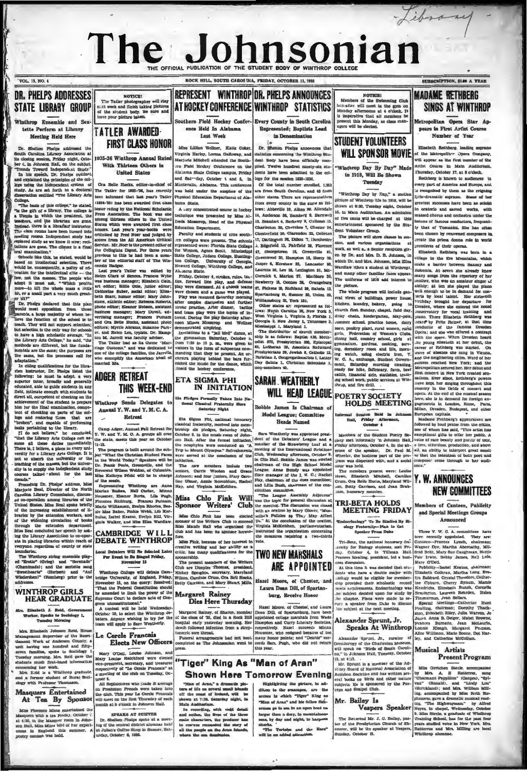## The J sonia HE OFFICIAL PUBLICATION OF THE STUDENT BODY OF WINTHROP COLL

VOL. 13, NO. 4

### **STATE LIBRARY GROUP** Winthrop Ensemble and Sex

tette Perform at Library Meeting Held Here

Or. Shalton Fissions addressed the the Carolina Lillerary Association at closing session, Friday night, October 4, in Johnson Hall, on the subject, Trends Toward Independent Study.<br>Trends Toward Independent Study.<br>In his speech, Dr. Phelps outlines nus speech, Dr. Pherps outlined<br>plained the principles of the col-<br>sing the independent aystem of<br>As are set forth in a doctoral<br>ation entitled "The Lübrary Arts ື່ 

basis of this colle e," he stated

College. <br>
The basis of this college," he stated, (IRI college," as stated, (IRI college," are stilved, a Urbeja in which the president, the Presenter, and the bilar<br>stated in the bilar stated in the bilar stated in the s

or or a means pass a test sense the plan<br>and the plan description from these proposition from these<br>produk mest opposition from these<br>produk mest opposition from the tendor<br>like the function of the achool is to<br>tendor. The mentals are the same; the purp<br>the same, but the processes urposes are<br>:s call for

in citing qualific

the same, but its processes call for one of the content in the smooth and particular<br>in a distinguishm, and the same intervel of the content of the matrices, D.F. Fishpa interest we can be a<br>simplify the American ideal of

oundarie.<br>The Winthrop string ensemble play-<br>d "Erotlo" (Grieg) and "Serenade"<br>Sweethearts" (Herbert) and "Auf<br>Sweethearts" (Herbert) and "Auf<br>Viederaben!" (Homberg) prior to the ed "En

### **WINTHROP GIRLS HEAR GRADUATE**

#### th J. Reid,<br>Speaks to So d, G er, Speaks to<br>Tucoday Mo  $\frac{1}{2}$

th Johnson Reid, Ho Mrs. Eliza Management Supervisor atent, House<br>Management Supervisor of the Reset-Magazuk Work of Anderson County, a<br>suith hawing one hundred and fifty-seven funnilisa, spoke to Sociology I<br>Tuesday morning. Mrs. Reid gave the dents much first-hand infor-

shoerning her work.<br>Mrs. Krid is a Winthrop graduate former student of Rural Soci with Professor Thomason.

### Masquers Entertained At Tea By Sponso

Miles Florence Minus entertained the Masquers with a tea Friday, October  $\vec{c}$ , at 4:30, in the Masquer room in Johnson Hall, Miks Minus told of her experiments one Hall, Miks Minus told of her experiments. A postry con



**TATIFR AWARDED FIRST CLASS HONOR** 

1935-36 Winthrop Annual Rate With Thirteen Others in **United States** 

Ore Belle We eha, ed The Tatler for 1935-'96, has recently been informed that last year's Tatle

(1934-35) has been awarded first class<br>honor rating by the National Scholasti<br>Press Association. The book was on (These-So? has been awaroned that the same of the press Associated also<br>also are rained by the National Scholarship and Scholarship and Maximum of<br>the same of the Scholarship and the same of the Scholarship and the<br>same fi

riage Customs," and<br>one of the college fa college families, the Jarrells,<br>plify the American ideal of

Local Debaters Will Re Sale For Event to Se Staged Friday, November 15

Winthrop College will deba<br>bridge University, of England<br>November 15, on the cusry University, or<br>er 15, on the query: Resolved:<br>constitution should "That the Pe aded to limit the power of the ne Court to declare acts of Cov

 $\overline{m}$  $n = 1$ gress unconstitutional."<br>A contest will be held Wednesday<br>Octobe.: 30, io select the Winthrop de

aters. Anyone wishing to try for Le Cercle Francais

### **Elects New Officers**

Mary O'Dell, Louise Johnson, and<br>Mary Louise Ratchford were elected<br>vice-president, secretary, and treasure<br>respectively of "Le Cerele Francels" a<br>s meeting of the club on Tuesday, Oc-

s mesung on the cause on Themas, Occurred to the R.<br>
All Sophomeres who made B average<br>
on Preshman Premeh were taken into<br>
the club. This year Le Certle Prancats<br>
will neet on the first Thursday of each<br>
month at 5 o'cloc

### SPEAKS AT SUMYER

Dr. Shalton Shalps spoke if a me of the on-trad district alumnae is<br>ing of the on-trad district alumnae is<br>at Julian's Coffee Shop in Sumer, Surday, October 6, 1936. held

## REPRESENT WINTHROP OR. PHELPS ANNOUNCES AT HOCKEY CONFERENCE WINTHROP STATISTICS

ROCK HILL, SOUTH CAROLINA, FRIDAY, OCTOBER 11, 1992

uthern Field Hockey Confer- Every County in South Caroling ence Held In Alabama

Loot West

Miss Lillian Wellner, Katle Coker, Mins Lillian Wellber, Eatle Coker, I. Dr. Siftetin Pinking announces that Myricia Starky, Lorena Galloway, and statistics concerning the Winkings Stu-<br>Marjoris Starky, Lorena Galloway, and statistics concerning the Winking Montevallo, Alabama, This conference<br>was held under the auspices of the<br>Physical Education Department of Ala-

ama *State*  $A :$ ery con trated course in hockey

chaigue was presented by Miss Al-**Education Department** Paculty and students of pipe south-

IN INITIATION

rmaily Take<br>ical Fratern<br>urday Night Takes Ink

Eta Sigma Phi, national bonorary<br>sanzial frateratty, received into memorial international state<br>renkip ats piedges, Saturday night, internatione 6. in the music room of John-<br>on Fall. After the formal mitiation, or Fall. Sara Weatherly was appointed presi-Sara Weatherly was appointed presi-<br>dent of the Debaters' League and a<br>"member of the Strawberry Leaf at a<br>meeting of the International Relations

meeting of the International Reislands<br>concelled the International Reislands in Clic Bizil. Robbie James was elected<br>as character of character and clic Bizil Robbie James Bundy was appointed<br>from manager of the EI Ro C.; Nichardon.<br>
The new members include two<br>
seniors, Carrie Wooden and Crace-Johnson; and four juniors, Mary Care-Johnson; and four juniors, Mary Care-<br>
Her, and Virginia McKeithen.<br>
Her, and Virginia McKeithen.

# Miss Chlo Fink Will was the tengna Assembly Adjourns"<br>
Sponsor Writers' Club the tength of peneral discussion at<br>
Sponsor Writers' Club the meeting. The discussion was closed

Miss Fink, because of her interest in vo

FIRST DESCRIPTION OF THE INCORPORATION CONTINUES. The Marian Friday, appearantly, approximately the Writers of the Writers (New The present members of the Writers Club are Dimples Thomas, president, accretary, Maryland Camp will debate Game Philosophers, and the relation

### **Margaret Rainey** Dies Here Thursday

 $\begin{tabular}{l|c|c|} \hline & \multicolumn{3}{c}{\multicolumn{2}{c}{\multicolumn{2}{c}{\multicolumn{2}{c}{\multicolumn{2}{c}{\multicolumn{2}{c}{\multicolumn{2}{c}{\multicolumn{2}{c}{\multicolumn{2}{c}{\multicolumn{2}{c}{\multicolumn{2}{c}{\multicolumn{2}{c}{\multicolumn{2}{c}{\multicolumn{2}{c}{\multicolumn{2}{c}{\multicolumn{2}{c}{\multicolumn{2}{c}{\multicolumn{2}{c}{\multicolumn{2}{c}{\multicolumn{2}{c}{\multicolumn{2}{c}{\multicolumn{2}{c}{\multicolumn{$ Hazel Moore, of Chester, and Laury<br>Dean Dill, of Spartanburg, have beer<br>appelined college marnhals from Wedden<br>Hampton and Curry Literary Societies<br>respectively. Hazel succeeds Minni<br>Neussance, who estimate and errorstor<br>m ococcic sore throat.<br>|Funeral arrangements land not beet.<br>|ompleted as The Johnsonian went to

many honor paints



 $\begin{tabular}{p{0.85\textwidth}} \hline & \textbf{9510 UVT I} & \textbf{0.14 U} & \textbf{0.15 U} \\ \hline \end{tabular} \hline \begin{tabular}{p{0.85\textwidth}}p{0.85\textwidth}} \hline \end{tabular} \hline \begin{tabular}{p{0.85\textwidth}}p{0.85\textwidth}}p{0.85\textwidth}p{0.85\textwidth}} \hline \end{tabular} \hline \begin{tabular}{p{0.85\textwidth}}p{0.85\textwidth}}p{0.85\textwidth}p{0.85\textwidth}} \hline \end{tabular} \h$ 

Represented; Baptists Lead In Denomination

Dr. Shenon Phelps ar unose the

Of the total number envolted then are from South Carolina, and 43 from other states. There are representative folder sames. There are representatives<br>from every county in the state as fol-<br>lows: Abbeville 10, Alken 39, Allendale<br>14, Anderson 56, Bamberg 9, Barnwell 19, Asserson on, Bannoerg 9, Barnwell<br>10, Beaufort 4, Berkeley 9, Calhoun 15,<br>Charleston 30, Cherokee 7, Chester 34, Chesterfield 28, Clarendon 22, Collaton

ie James Is Chairman of Model League; Committee

**Heads Mound** 

with an oration by Mary Glover "Mus

ARE APPOINTED

Hazel Moore, of Chester, and

Laura Dean Dill, of Spartan-

have Rocelyn Honor

**Highlighting** the picture, in adreightigbling the picture, in addition to the senseapes, are the seemes in which "Tiger" King as "Man of Aran" and his fellow fish-

ermos po to sea in an open boat no

larger than a dory, in mountainous

antis.<br>"The Torteles and the Hare"

 $v$  construction NOTICES!<br>Members of the Swimming Club<br>hereafter will meet in the gym on<br>Monday afternoons at 4 o'clock. It<br>is imperative that all members be<br>present this Monday, as class man-<br>agers will be elected.



"Winthrop Day By Day" Mad in 1918. Will Be Shown  $n_{model}$ 

on Day by Day" a m picture of Winthrop life in 1918, will be<br>shown at 8:30. Tuesday picht. Octobe 15. in Main Auditorium An admissi 133. In Main Auditorium, An admission<br>of five cents will be charged at this<br>entertainment aponsored by the Student Volumer: Group.

**Paculty and students of nine south.** Chesterfield 33, Olarendon 22, Colleton elect Volunteer Croup.<br>
The pickure presented were present. The schools 17, Darlington 33, Diskure 7, Dorehester r The pickure will show classe

Factor of the school in the school in Equilibria of the school in the school in the school in the school in the school in the school in the school in the school in the school in the school in the school in the school of t

WILL HEAD LEAGUE POETRY SOCIETY **HOLDS MEETING** 

nour was held.<br>
The members present were: Louise encoded the analysis of the state of the state of the state of the state of the state of the state of the state of the state of the state of the state of the state of the st

**TRI-BETA HOLDS<br>MEETING FRIDAY** 

and the Studies Br. Bl.,<br>Incollect Br. Br. Studies Br. Bl.,

Tri-Beta degree and the Basiled Ry Bi-Bernard Street From Disk to the Street From Disk of the Tri-Beta, the minimal booster in the beam of the street From Disk beta and the street of the Tri-Beta degree in the minimal str

Speaks At William Contract Contract of the Contract of the Contract Contract Contract Contract Contract Contract Contract Contract Contract Contract Contract Contract Contract Contract Contract Contract Contract Contract C  $\begin{tabular}{ll} \textbf{Msin Gretcher} & \textbf{8} & \textbf{8} & \textbf{8} & \textbf{8} & \textbf{8} & \textbf{8} & \textbf{8} & \textbf{8} & \textbf{8} & \textbf{8} & \textbf{8} & \textbf{8} & \textbf{8} & \textbf{8} & \textbf{8} & \textbf{8} & \textbf{8} & \textbf{8} & \textbf{8} & \textbf{8} & \textbf{8} & \textbf{8} & \textbf{8} & \textbf{8} & \textbf{8} & \textbf{8} & \textbf{8} & \textbf{8} & \textbf{8$ 

 $\begin{tabular}{ll} &\multicolumn{3}{l}{\textbf{Max}} &\multicolumn{2}{l}{\textbf{Max}} &\multicolumn{2}{l}{\textbf{Max}} &\multicolumn{2}{l}{\textbf{Max}} &\multicolumn{2}{l}{\textbf{Max}} &\multicolumn{2}{l}{\textbf{Max}} &\multicolumn{2}{l}{\textbf{Max}} &\multicolumn{2}{l}{\textbf{Max}} &\multicolumn{2}{l}{\textbf{Max}} &\multicolumn{2}{l}{\textbf{Max}} &\multicolumn{2}{l}{\textbf{Max}} &\multicolumn{2}{l}{\textbf{Max}} &\multicolumn{2}{l}{\textbf{Max}} &\multic$ 

### **SUBSCRIPTION CLASS A WEAR MADAME RETHRERG SINGS AT WINTHROP**

ind

Metropolitan Opera Star Annance in Pinet Avilet Course Nomber of Vans

th Bethberg, le answership awareness; monocas, wopenses I the Metropoliter Opera Company,<br>"Ill appear as the first number of the<br>.rtist Courne in Main Auditorium Thursday Outsides 17, at 8 steamb

r, October 17, at a consex.<br>Ing is known to audiences are part of America and Funcos and us mouvesus mans pourts matic sopra: response . . . control concerns and service the control of the restest successes have been as soloist<br>n oratorio and sacred works, with<br>nassed chorus and orchestro under the massed chorus and orchestra under the<br>batons of famous conductors, frequent-<br>ly that of Toscanini. She has often been chosen by renowned composers to occu cnosen by renowned compose<br>create the prima donna role in v<br>cremieres of their operas.

Elisabeth Rethberg was born in a village in the Ern Mountains, which consider the harmonic scale is a metric between Same of Roberts. At seven an energy capability, as ten alternative of the specific scale is a several scale in the property of the state vession at the new mountains, which

 $\begin{tabular}{c|c|c} \multicolumn{1}{c}{\textbf{A}} & \multicolumn{1}{c}{\textbf{A}} & \multicolumn{1}{c}{\textbf{A}} & \multicolumn{1}{c}{\textbf{A}} & \multicolumn{1}{c}{\textbf{A}} & \multicolumn{1}{c}{\textbf{A}} & \multicolumn{1}{c}{\textbf{A}} & \multicolumn{1}{c}{\textbf{A}} & \multicolumn{1}{c}{\textbf{A}} & \multicolumn{1}{c}{\textbf{A}} & \multicolumn{1}{c}{\textbf{A}} & \multicolumn{1}{c}{\textbf{A}} & \multicolumn{1}{c}{\textbf{A}} &$ 

# NEW COMMITTEES

#### Members of Canteen, Publicity and Special Meetings Groups Announced

Musical Artists

Present Program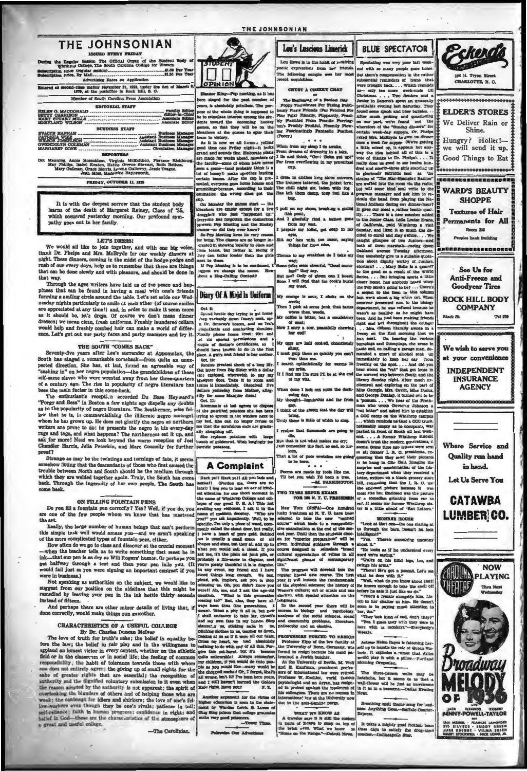### **THE JOHNSONIAN**

EVERY FRIDAY Regular Session The Official Organ of the St<br>inthrop College, The South Carolina College for W 11.00 Per Yes ike Price (regular sessi<br>tion Price, By Mail...... critising Rates on Appli

Entered as second-class matter November 21, 1923, under the Act of Marob 3 1879, at the postoffice in Rock Rill, S. O. Member of South Carolina Press Associati

EDITORIAL STAFF

| <b>BUSINESS STAFF</b>              |                           |  |
|------------------------------------|---------------------------|--|
|                                    |                           |  |
|                                    |                           |  |
| <b>CURRENTS OF WAY CATE WARANT</b> | Anglerant Trustmans Manag |  |

MARGARET CONE

iosenblum, Virginia McKeithen, Fiorie<br>| Keaton, Hattis Greene Stewart, Ru<br>Grace Morris, Lorena Galloway, Jessie<br>| Moss, Madeleine Happsworth ıg, Annie<br>hüllps, Is<br>ry Gallma

FRIDAY, OCTOBER 11, 1935

It is with the deepest sorrow that the student body learns of the death of Margaret Rainey, Class of '35, which occurred yesterday morning. Our profound sympathy goes out to her family.

#### **LET'S DRESS!**

We would all like to join together, and with one big voice,<br>thank Dr. Pielps and Mrs. McBryde for our weekly dimners at<br>night. These dimners, coming in the midst of the hodge-podge and<br>number of paid of our every days, hel that can be done slowly and with pleasure, and should be done in the WAY.

Through the ages writers have told us of the peace and hap please that can be found in having a meal with one's friends that can be found in having a meal with one's friends somaing a samang care around for anone. Let's set assion our weak needay nights particularly to smile at each other (of course smiles are appreciated at any time!) and, in order to make it seem more as it abould be, let's would help and freshly combed hair can make a world of difference. Let's get out our party faces and party manners and try it

#### THE SOUTH "COMES BACK"

Seventy-five years after Lee's surrender at Appamatox, the South has staged a remarkable conscheck—from quite an unexpected direction. She has, at last, found an agreeable way of vested direction. She has a state is approp

self-anne sawes who were weested away rroun me tarte-square of a century ago. The rise in popularity of negro literature has been the main factor in this come-hack.<br>The enthusiastic reception accorded Du Bose Heyward's The as to the popularity of negro literature. The Southerner, wise<br>low that he is, is commercialising the illiterate negro amo .<br>Th m he has grown up. He does not glorify the negro as northern whiters are proven to do; he presents the negro in his every-day writters are prone to do; he presents the negro in his every-day rage and tags, and what helpers? The northerners eat it up, and also for more! Need we look proof?

Strange as may be the twistings and turnings of fate, it seen behow fitting that the descendants of those who first caused the trouble which they are welded together again. Truly, the South has come back. Through the ingenuity of her own people, The South has

#### ON FILLING FOUNTAIN PENS

Do you fill a fountain pen correctly? Yes? Well, if you do, you<br>are one of the few people whom we know that has mastered tha art.

a art.<br>ILeally, the large number of human beings that can't perform<br>is simple trak well would amaze you—and we aren't speaking<br>the more complicated types of fountain pens, either.<br>How often do we go to class and discover a  $\omega t$  the  $\pi$ 

now over on we go to cannot used to write something that mast be in<br>mix-that our pen is as dry as Will Rogers' humor. Or perhaps you<br>get in the that our pen is as dry as Will Rogers' humor. Or perhaps you<br>would fail just a

not have to you will use the subject, we would like to reach the main start of the subject, we would like to reach the speaking as authorities on the sidelines that this weakended by leaving your pen in the ink bottle thir instead of fifteen

And perhaps there are other minor details of living that, if<br>done correctly, would make things run smoother.

### **CHARACTERISTICS OF A USEFUL COLLEGE**

## By Dr. Charles Duncan McIver

fore the law; the belief in fair play and in the willingness to applaud an honest victor in every contest, whether on the athletic applead an honest victor in every contest, whether on the athletic field or in the cleaser on or in social life; the feeling of common pointing responsibility; the habit of tolerance towards these with whom one des not ent the reason adopted by the authority is not apparent; the spirit of overlooking the bismanes of others and of helping those who are weak; the contempt for idlers and shirlers; the love of one's clear spin lower of our stell low-workers even though they be one's rival; patience in the line of the proposed in the proposed in the proposed in the lattice is the lattice in the ball ball in the characteristics of the atmosphere of a part of the cha

-The Carolinian.



een staged for the past num<br>ears, is absolutely pointless, Th  $\approx$  of s. The pur-

ears, is assumently puncture, the purposed to<br>to stimulate inherent among the structure toward the concoming host<br>rest toward the concoming hoster immer, so that they will be on the<br>eachers at the games to spur their m to victory.

m to vietory,<br>I it is now we all hamps yelling<br>I time one Friday night-it looks<br>nd and sounds fine. Elaborate plans As ne Friday night-it looks<br>unds fine. Elaborate plans<br>weeks ahead, members of made for weeks ahe come of whom have never<br>so-(and probably think it a a gun une-(and process)<br>coryl) make speeches lauding<br>sama. After the cup is pre $n \neq n$ tes  $ar$  to

Monday the games start -- the<br>crs are empty except for a few<br>ere who just "happened by." me has forgot<br>m Pep Mostin the and the H

James-or did they ever know?<br>So Pep Meeting loves its very respecting. The classes are no longe dassos are no longer in<br>sing loyalty to class an

d in st tians teams, but rathr in see to th am. ting is to be co If Pep Mo

gest we change the n **uge** 

## Diary Of A Maid In Uniform

Sp.<br>10. actic day trying to get home pay writically down Denn's nock, up-<br>Dr. Smarwo's boson, and on Fra's<br>manifelie and constraint and<br>ally phone home (cost: 90c) and<br>hally phone home (cost: 90c) and<br>ple of doctor's cert 

10:<br>
se greatest abook to the dollar<br>
ler from Big Sister with a dollar<br>
nebosed, wherewith to poom and<br>
se chue. Take it to room and<br>
it immediately. (Received five<br>
yesterday from Mother, alleg<br>
Masquer dues.)

and Massiver and a settled and the specifical state of the particle in the specific control of the particle state has been in the window next in the specified point of the specified of the specified of galaxy since the sp

### **A Complaint**

A COMPIERINE and the same of Wall you had and the limit is simple to be<br>the limit of Parton ma, there are no indicated in the proper to be<br>red an about the condition of the same of kinds and of Wall<br>to for one short moneta

 $701$ erelf Ab, me, and I ask the a ng to?" But, also, th some to me thus (the generations,<br>nys been thus (the generations,<br>ean). What a pity it all is, but no<br>shall endeavor to take Mr. Close<br>od my own fate in my hards. St ٦ ways b **Lada I** it r us, sticking nalls in  $\overline{a}$ e in us, te aring us do ptichting dictions in us, tearing us down,<br>tussing at us as if it were all our fault,<br>Cross my heart, we had absolutely<br>ording to do with any of all this. For-<br>give this out-burst, but it's bocome<br>graphites, if you would d

ny canoneur, ir you would like-many would be<br>the chopped neckal! Or, I forgot, that's<br>all wrong, ima't ti? I've been here years,<br>all wrong, ima't if it? I've been here years.<br>Raie right. Here you?<br>F. Z.

Another argument for the variable<br>higher education is seen in the state-<br>neut by Warden Lewis 6. Lawse of<br>Sing Sing prison measures,

spaces are very some two many people gone home.<br>
Figure thermal or the rather and with a many people gone home.<br>
But there is required in the rather with respect to the space of bone that<br>
were irreduced to the space of th The Beginning of a Feriest Day<br>
Fropy Foulainess For Friday Palot<br>
Propy Foulainess For Friday Palot<br>
Propy Foulainess For Friday Phatter<br>
University Francisco Friday Propy<br>
1970 - The Particular Palot<br>
1970 - Annaly Propy  $. 0.0.0$ When from my sleep I do awake<br>From dreams of drowning in a life and think, "Clear Gotta gotta"<br>Far from overthewing in my neo or unings to Dr. Pimpil. . .<br>These us good to nee twelve he and ninety-knee girls standing<br>larionaly patriotic seal as<br>as of "The Star-Spangled Bann d and ninet ams of "The Star-Spangled Banner<br>wafted into the room via the radio<br>will some kind soul vrite to the<br>gram manager and ask him to re-<br>him the band from playing the Na I dress in clothes Ma<br>The trousers tattered<br>The chill night air,<br>Has left them damp, strain the band from playing the Na Relational Antheno during our dimens-hour<br>If gives our meal a rather hectic quality.... There is a new member added<br>to the Junier Olasa. Lela k are member added<br>to the Junier Olasa. Lel ul on my pest),<br>sherkilly find a b  $\frac{1}{2\pi\sigma^2}$ from my vest.<br>repare my toilet, gut soap in my caught gluones as a must as the caught of the caught gluones of two Juniors-and<br>both of them marshals-racing down tith the r my' fa both of them marriads --racing down the<br>Column are compact to the control of the mass Twarday after<br>moon. Gonkland are<br>easy of stress at a substitute of the control of the stress<br>parameter  $\epsilon$ , Markey Balla is a quarter Oakland aver e to my breakfast do I m way; folks seem chee erful, "Go But me? Only of glosm.<br>I will flud that the can I by

seeds;<br>I pick at some junk that res than weeds,<br>e is bitter, has a

ry a cow, pe  $X$  ex

st gulp th **22 80 QU** 

my grits, nd one I'm sure I'll be at the end **HIS** 

of my n done I look out : las G is Georgie, Mrs. Cariti, Miss David George Dunlap, it turned out to<br>George Dunlap, it turned out to<br>be been a who wrote Governer Johnson<br>ha who wrote Governer Johnson<br>COC camp on the Wintingp can<br>which reminds us that a GO

ening day,<br>thought-lug ı.,

 $\overline{\mathbf{r}}$ ik of the gloom th t m coo es

is little of wi Truly

dire that thousands are a  $\mathbf{d}$ 

But that is not what makes me ery: Just rem er the fact, so sad, so

lorn,<br>That a lot of poor wretches are gots ٠.,

Forms are made by fools like me.<br>Til bet you wish I'd been a tree.<br>-M. FARRINOTOF

TWO TEARS BEFOR EXAMS<br>FOR 100 N. Y. U. FRI

sources<br>or simply as to compute the same and formula and the particular spectrum<br>of the same of the same will be modern generated<br>and, it is the same simple state of the same state of the same state<br>of the same state of t New York ORNPA)-One hu

ucky freshmen at N. Y. U. have been<br>relected to take the new "unlife<br>varme" which leads to a comprehence examination at the end of the sec caston at the end of the second<br>can for the second plane and of the second reversion. To "superior presention" will be<br>given individual guidance through a course designed to silenal<br>ate "stroad signification of  $-1$ " becau int phase of or

life."<br>
The program will dowelall into the regular liberal arts course. The first<br>
year it will include the fundamentals<br>
of the physical sciences; the history of<br>
Western culture; att or music and one county<br>
collection

chective, when speed there will be approached the second year there will be courses in biology and peychology, analytes of the social sciences, social and community problems, literature phy and an elective.

**FROFESSORS FORCED TO FLESION**<br>
Professor Kipp of the law faculty at the University of Bona, Osemany, was<br>
from the free state of the state of the state of the state of the<br>
Irangle and the state of Bordin bulks, the state Actress Helsen Players is fattering hereaft up to handle the role of Queen Victoria. It explodes a runor that Artist would play it with a pillow-Furthand Morning Oreganian.

sons on museum<br>and the graduate, world famous<br>prychologist and an Aryan, has resigned in protest against the treatment of<br>his colleagues. There are no courses in

nations! lew at the Uni ius to the anti-Se

WHAT WE KNOW AS

Breathing spall theme song for bus<br>nots: Anything Goes.--Buffalo Courie<br>Express. on top of It takes a mighty good if



Pskerdi

108 N. Tryon Str

CHARLOTTE, N. C.

**AGENCY** 

Where Service and **Ouality** run hand in hand.

Let Us Serve You

### **CATAWBA** LUMBER CO.



 $\overline{\phantom{a}}$ er 73s

Lou Howe is in the habit of receiving as from her frien tic exp The following sample was her a

THE JOHNSONIAN

CHUST A CHEERY CHAT

Leu's Luscieus Limerick

**BLUE SPECTATOR** 

ad with so many people gune home

 $B<sub>2</sub>$ 

ing was very poor last weel

ue Tuesday aft

Sunday night. After music<br>hi and exploring on the parties bearing to the Dar<br>leorgie, Mra. Cavitt, Miss Da

th all last v

choose tempty as to outlines

 $\overline{a}$ 

|I p

orange is sour, I el

of m

١£٧ eggs are half cool

n time me e rch optis ally for v ms in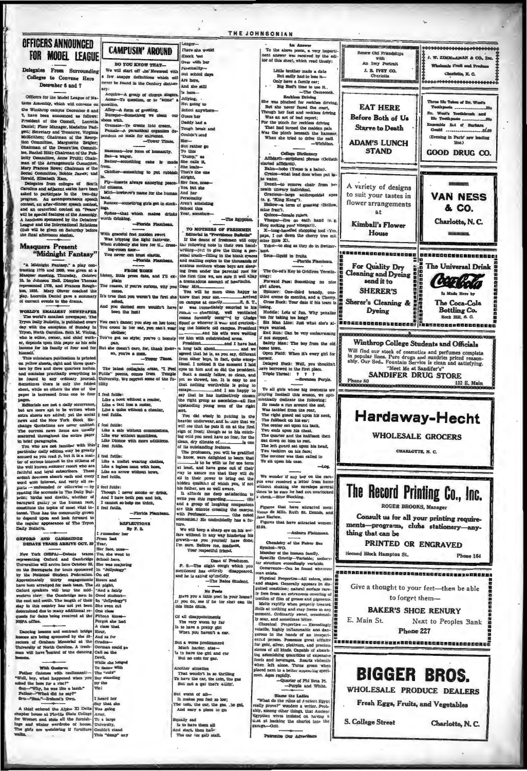### **OFFICERS ANNOUNCED FOR MODEL LEAGUE**

#### Delegates From Surrounding Colleges to Convene Here December 6 and 7

Officers for the Model League of Naouters irreprendent and the first of Na-<br>Monta Assembly, which will converse on the Wankhrop campus Descrate<br> $\pi$  and 2-reddent of the Oceanod as follows: The New Seam announced as follows:<br>The Betti Denditi, Hore and Str ons Astembly, which will convene on

b will be given on Saturday before

# Masquers Present<br>"Midnight Fantasy

"A Midnight Fanhasy," a play contraction of the Midnight Translation, we give<br>a Hanguer meeting. Thursday, October 10, in Johnson Hall, Dunpher Thomas<br>system represented in the color represented interpresented in<br>the Angl

WORLD'S BALLERY NEWSPAPER, The world's mailed a perspect and the construction of the second and the second and the second and the second and the second and the second and the second second and the second second the second

himself. This uniformalization is princed and the space of pellom and the poster and the space does be for the posterior behavior by found the base of countering wear<br>the base of countering the base of countering the base

pages. The matrix are not a daily occurrence, but are more apt to be written when<br>next absets are added; yet the solid next absets are added by New York Block<br>Echange Quotations are now more omitted.<br>The ourrent new liter

in brief paragraphs. Les cours paper articular daily edition may be greatly<br>nused as you read it, but it is a matter of serious interest to the citie the well known summer resort who are<br>faithful and layal subscribers. These the well known summer resort was<br>finishful and loyal subscribers. These<br>ardent devotees absorb each and every<br>word with interest, and werly all re-<br>parts — unfounded or otherwise — by<br>parts — resolute the summer letin: highs and deaths, wheth ter of nary natural mass cases, we<br>team and guality or the human random<br>meth. Thus has the community grown<br>of degend upon and look forward to<br>the negular appearance of The Tryon<br>to regular appearance of The Tryon

OXFORD AND CAMBRIDGE

New York (NSPA)-Debute trams Your Search of the Hart of the Marian State of the Search of the Search of the Search of the Search of the Search of the Search of the Search of the Search of the Search of the Search of the Se thermitian will arrive here Ordeber 25, 82<br>and the Berengaria for tours sponsored In the National Sharinn, Pedecal<br>of Ordeber and Specifical Consequences in the National Sharing<br>of the specifical Consequences in the Austr mined due to many additional re OR

ancing Lemons and contract bridge<br>nos are being sponsored by the di-<br>new of Graham Memorial as the<br>sensity of North Carolina. A meah-<br>will have control of the dancing E < O O ۱ă

 $\begin{tabular}{l|c|c|} \hline & \multicolumn{1}{c}{\textbf{With Coetherov.}}\\ \hline \multicolumn{1}{c}{\textbf{Wlike Gedaren}}\\ \hline \multicolumn{1}{c}{\textbf{Wake}} & \multicolumn{1}{c}{\textbf{Wake Insonerad when $y$}}\\ \hline \multicolumn{1}{c}{\textbf{Wole, by the two Hole B}}\\ \hline \multicolumn{1}{c}{\textbf{Stab} = \textbf{WRe}_1} & \multicolumn{1}{c}{\textbf{Wole in a Imb.}}\\ \hline \multicolumn{1}{c}{\textbf{Bole} = \textbf{WRe}_2} & \multicolumn{1$ lт  $\begin{tabular}{|c|c|} \hline $1$ & Bay & 8\\ \hline Bay & the\\ By & the\\ Wei\\ \hline \end{tabular}$ ed when you

Father-"What did he say?"<br>
Stu-Father Corollation Corollation (Say that she same that the Albert control of Albert Corollation<br>
A third shape house at Find State College Away,<br>  $m$  Women and she in the further Try a large

| <b>CAMPUSIN' AROUND</b>                                                                      | <b>Longer</b><br>There she would                                                                                  |                     |
|----------------------------------------------------------------------------------------------|-------------------------------------------------------------------------------------------------------------------|---------------------|
|                                                                                              | Knock 'um<br>Over with her                                                                                        |                     |
| <b>DO YOU KNOW THAT-</b><br>We will start off the Newsreel with                              | Personality-                                                                                                      |                     |
| a few anappy definitions which will                                                          | But school days<br>Are here,                                                                                      |                     |
| never be found in the Century diction-<br>ary:                                               | And she still                                                                                                     |                     |
| Acquire-A group of church singers.<br>Acmo-<br>-To question, or to "acme" a                  | Is here-<br>Jellying,                                                                                             |                     |
| question.<br>Alloy-A form of greeting.                                                       | Not going to<br>School anywhere                                                                                   |                     |
| Bursque-Something we olean our<br>shoes with.                                                | <b>Guess her</b>                                                                                                  |                     |
| Cremate-To create into cream.<br>Pemale-A parasitical organism de-                           | Daddy had a<br>Tough break and                                                                                    |                     |
| pendent on male for existence.                                                               | Couldn't send                                                                                                     |                     |
| -Tower Times.                                                                                | Her-<br>But rather go                                                                                             |                     |
| Baseman-low form of humanity.<br>Bat-a wager.                                                | To this<br>"Dump," sa                                                                                             |                     |
| Batter-comething cake is made<br>from.                                                       | She calls it,<br>She loafs-                                                                                       |                     |
| Catcher-something to put rubbish<br>ln.                                                      | That's the one<br>Airight,                                                                                        |                     |
| Ply-insorts always annoying per<br><b>ACO</b><br>ful citisens.                               | Her face, no<br>Yes, but she                                                                                      |                     |
| <b>Mitt</b><br>lowbrow's name for the human<br>hand.                                         | And her<br>Personality                                                                                            |                     |
| Runner-something girls get in stock-<br>ings.                                                | Aren't attending                                                                                                  |                     |
| Spikes-<br>that which makes drinks Year, somehow                                             | School this                                                                                                       |                     |
| worth drinking.<br>Plorida Plambeau.                                                         | The Egyptian.                                                                                                     |                     |
| With graceful fest maiden aweet                                                              | TO MOTHERS OF FRESHMEN<br>Editorial in Trovidence Bulletin"                                                       |                     |
| Was tripping the light fantestic.<br>When suddenly she tore for $U_{-}$ dress-ing-room door- | If the deans of freshmen will copy<br>the following note in their own hand-                                       |                     |
| You never can trust elastic.                                                                 | writing--just to give the thing a per-<br>sonal jouch-filling in the blank spaces                                 |                     |
| -Plorida Plambeau.                                                                           | and mailing copies to the thousands of                                                                            |                     |
| <b>FROM HOME</b>                                                                             | anxious mothers whose boys are aleep-<br>ing from under the parental roof for                                     |                     |
| plain                                                                                        | Listen, little prom date, and I'll ex- the first time we, are sure it will aliay                                  |                     |
| The rea<br>son, if you're curious, why you<br>œ                                              | You will be more than happy to                                                                                    |                     |
| It's true that you weren't the first she<br>ø                                                | know thet your son.<br>arrived                                                                                    |                     |
| And you darned sure wouldn't have<br>been the last!                                          | a was immediately escorted to his                                                                                 |                     |
| You can't dance; you step on her toes;                                                       | rooms -- charming, well ventilated<br>rooms formerly countried by Gudge<br>Spoof or whoever it was, and overlook- |                     |
| You croon in her ear, you can't wear<br>clothes;                                             | ing the historic old campus. President                                                                            |                     |
| You've got no style; you've a homely                                                         | for him with outstrotched arms.                                                                                   |                     |
| pan,<br>But she doesn't care, for, thank Heav-                                               | President_<br>and I have had<br>a long talk about.<br>- and we                                                    |                     |
| an, you're a man.<br>Tower Times.                                                            | agreed that he is, as you say, different from other buys, in fact, quite excep-                                   |                     |
| The latest collegiate crase, "I Feel Putile" poems, comes from Temple                        | tional. I noticed it the moment I laid<br>eyes on him and so did the president.                                   |                     |
| University. We reprint some of the fu-                                                       | Such a manly fellow, so clean, and<br>yet so shrewd, too. It is easy to see                                       |                     |
| <b>Lility</b>                                                                                | that nothing worthwhile is going to<br>escape<br>and I am happy to                                                |                     |
| I feel futile:<br>Like a book without a reader,                                              | asy that he has instinctively chosen<br>the right group as associates-<br>all fine                                |                     |
| Like a taxi lem a meter,<br>Like a quius without a cheater,                                  | upstanding young men of the right<br>aort.                                                                        |                     |
| I feel futile.                                                                               | You did wisely in putting in the<br>heavier underwear, and be sure that we                                        |                     |
| feel fuithe:<br>Like a sale without commissions,                                             | will see that he puts it on at the first                                                                          |                     |
| Like war without munitions,                                                                  | sign of frost; though as to his catch-<br>ing cold you need have no fear, for the                                 |                     |
| Like Dionne with more additions.<br>feel futile.                                             | clean, dry climate of<br>is one<br>of its outstanding features.                                                   |                     |
| feel futile:                                                                                 | The professors, you will be gratified to know, were delighted to learn that                                       |                     |
| Like a madist wearing clothes,<br>Like a legion man with hose,                               | is to be with us for one term<br>at least, and have gone out of their                                             |                     |
| Like an arrow without hows,                                                                  | vay to assure me that they will do all in their power to bring out the hidden qualities of which you, if not      |                     |
| feel futile:                                                                                 | his father, are so well aware.                                                                                    | V                   |
| Though I never smoke or drink,<br>And I have both pen and ink.                               | It affords me deep satisfaction to<br>write you this regarding                                                    |                     |
| I cannot so help me think, feel futile.                                                      | and a group of laughing companions<br>are this minute crossing the camput                                         |                     |
| -Florida Flambeau.                                                                           | with Professor.<br>(the noted<br>economist.) He undoubtedly has a fu-                                             |                     |
| <b>MEFLECTIONS</b><br>By F. S.                                                               | ture.                                                                                                             | 8                   |
| rumember her<br>rom last                                                                     | We will keep a sharp eye on his wel-<br>fare without in any way hindering his                                     |                     |
| 'car.                                                                                        | growth-as you yourself have done, I'm sure. Believe me, madama,                                                   |                     |
| ler face, mon<br>es, she went to                                                             | Your respectful friend,                                                                                           |                     |
| chool here.<br>he was majoring                                                               | Dean of Preshmen.<br>P. S .- The slight cough which you                                                           | Ł                   |
| "Jellyology"<br>n off                                                                        | mentioned has entirely<br>disappeared.<br>and he is cating ap'-meldly.                                            |                     |
| ours and<br>t pight,                                                                         | -The Bates Student.                                                                                               | Ł                   |
| And a fairly<br>ood student-                                                                 | No Pools                                                                                                          | ø<br>L <sub>1</sub> |
| "Jellyology"!<br>he even cut                                                                 | Have you a little poet in your home?<br>If you do, see if he (or she) can tie                                     | $\alpha$            |
| ne class<br>fteen times                                                                      | this little ditrie.                                                                                               | B<br>m              |
| orgot she had                                                                                | Of all disappointments<br>The very worst by far                                                                   | ly                  |
| class that<br>our,                                                                           | Is to have a pratty girl<br>When you haven't a car.                                                               | V)                  |
| ud as for<br>rades-                                                                          | But a worse predicament                                                                                           | X1<br>er            |
| erman could go<br>all on the                                                                 | Much harder, alss-                                                                                                | fo<br>at            |
| evil,<br>hile she longed                                                                     | Is to have the girl and car<br>But no coin for gas.                                                               | <b>Ln</b><br>fo     |
| dance with                                                                                   | Another situation                                                                                                 | $\mathbf{w}$<br>pl  |
| e "cute"<br>y standing                                                                       | That woudn't be so thrilling<br>To have the car, the coin, the gas                                                | m                   |
| the                                                                                          | But not a gal their ellifn'.                                                                                      |                     |

Am Amwer<br>To the above poem, a very imperi-<br>nent answer was received by the edi-<br>tor of this sheet, which read thusly:

Little brother made a date<br>
But sadiy had to lose it-<br>
Caly have a family car;<br>
Big Burn it me to use it.<br>
Big Burn these to use it.<br>
Eccless Driving<br>
was pinched for rechine chiving. She was pinched for rechbses driving<br>But the never faced the court,<br>Though her fast and rechtlass driving<br>Was an act of bad report;<br>Was an act of bad report;<br>For the pinch for reckless driving<br>That bad turned the maiden pa 

- College Dictionary<br>Affidavit—scriptural phrase<br>ured affidavit).<br>Balm—hobo (Youae is a balm an ta a halm).  $\overline{a}$ www.tavenut Decell-to remove chair from he-<br>seath unwary individual.<br>Oracleus.

Cracious-large s eng mong").<br>-a term of greating *(*H  $\overline{m}$ 

mine fran?),<br>
Quince-female rulers.<br>
Vinegar-five ou each hand (e.g.<br>
Slop neuting your vinegar).<br>
May a setting your vinegar),<br>  $\frac{1}{2}$  and depend only be completed to the paper.<br>
Tout this 2...<br>
Tout in the 2...<br>
Tout liquid in fruits.

The Co-ed's Key to Oridiron Termin-The Co-ed's Key to Oridina Termin-<br>Copy:<br>Forward Pass: Something no nice<br>girl allows.<br>Spinner: One-third brandy, one-<br>third creme de menths, and a Cherry.<br>Oross Buck: Your date if his team is

Cross Buck: Your date if his team is<br>hotels. Lots of fun. Why penalize<br>'em for taking too long?<br>Bik Man Line: Just what she's al-<br>Bik Man Line: Just what she's al-<br>ways wanted.

r not stopped.<br>Safety Man: The boy from the old 

erself.<br>
Delayed Buck: Well, you show<br>
ave borrowed in the first place.<br>
Triple Threat: ? ? ?<br>
-Sewante Pu

 $\begin{tabular}{l|c|c|c} \multicolumn{1}{l}{\textbf{\textcolor{red}{\bf - 2}}}\hspace{-1.5cm}\textbf{1} & \textbf{2} & \textbf{3} & \textbf{3} & \textbf{4} & \textbf{5} & \textbf{5} & \textbf{6} & \textbf{7} & \textbf{8} & \textbf{9} & \textbf{1} & \textbf{1} \\ \hline \textbf{1} & \textbf{1} & \textbf{2} & \textbf{3} & \textbf{5} & \textbf{5} & \textbf{6} & \textbf{7} & \textbf{6} & \textbf{7} & \textbf{8} & \textbf$ 

We wonder if any boy on the cara-<br>pus ever received a letter from home<br>without shaking the enrulope several<br>times to be sure he had not overlooked<br>a check-Blue Blocking.

Pigures that have attracted mentioned Wenus de Millo. Ruth St. Dennis, and Jean Harlow.<br>Pigures that have attracted women:<br>Pigures that have attracted women:

No Feets<br>we little poet in your home?<br>we if he (or she) can tie<br>ditie. siones of all kinds. Capable of absorbing sateroisibns of expensive foods and beverages. Reacts violently when left alone. Tunes green when placed next to a better appearing specinen. Ages rapidly.<br>-Cuarter of Phi Bers Pi

puncter of Phi Beta Pi.

S. College Streat

Charlotte, N.C.

Name the Ladies and While.<br>
"What do the rules of *A* refers . Probert Egyptically prove?" wooder a writer. Probert .<br>
Egyptian wives instanted on having a big right of the ladies of the ladies<br>
Egyptian wives instanted on worst of all-<br>makes you feel so low;<br>coto, the car, the gas, .he gal,<br>nd mary a place to go.

ually sad<br>Is to have them all<br>Id start, then have<br>The car (or gal) stall,

also Our Adva